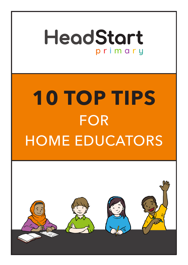

# **10 TOP TIPS** FOR HOME EDUCATORS

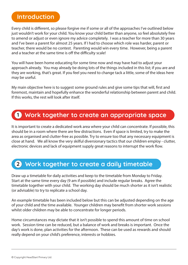### **Introduction**

Every child is different, so please forgive me if some or all of the approaches I've outlined below just wouldn't work for your child. You know your child better than anyone, so feel absolutely free to amend or adjust or even ignore my advice completely. I was a teacher for more than 30 years and I've been a parent for almost 25 years. If I had to choose which role was harder, parent or teacher, there would be no contest. Parenting would win every time. However, being a parent and a teacher at the same time is off the difficulty scale!

You will have been home educating for some time now and may have had to adjust your approach already. You may already be doing lots of the things included in this list; if you are and they are working, that's great. If you feel you need to change tack a little, some of the ideas here may be useful.

My main objective here is to suggest some ground rules and give some tips that will, first and foremost, maintain and hopefully enhance the wonderful relationship between parent and child. If this works, the rest will look after itself.

# **Work together to create an appropriate space 1**

It is important to create a dedicated work area where your child can concentrate. If possible, this should be in a room where there are few distractions. Even if space is limited, try to make the area as organised and clutter-free as possible. Try to ensure too that any necessary equipment is close at hand. We all know the very skilful diversionary tactics that our children employ - clutter, electronic devices and lack of equipment supply great reasons to interrupt the work flow.

# **Work together to create a daily timetable 2**

Draw up a timetable for daily activities and keep to the timetable from Monday to Friday. Start at the same time every day (9 am if possible) and include regular breaks. Agree the timetable together with your child. The working day should be much shorter as it isn't realistic (or advisable) to try to replicate a school day.

An example timetable has been included below but this can be adjusted depending on the age of your child and the time available. Younger children may benefit from shorter work sessions whilst older children may be able to concentrate for longer periods.

Home circumstances may dictate that it isn't possible to spend this amount of time on school work. Session time can be reduced, but a balance of work and breaks is important. Once the day's work is done, plan activities for the afternoon. These can be used as rewards and should really depend on your child's preference, interests or hobbies.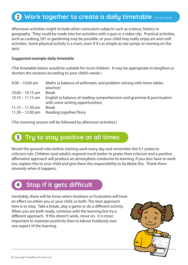## **2** Work together to create a daily timetable (continued)

Afternoon activities might include other curriculum subjects such as science, history or geography. They could be made into fun activities with a quiz or a video clip. Practical activities, such as cooking, DIY or gardening may be possible, or your child may really enjoy art and craft activities. Some physical activity is a must, even if it's as simple as star jumps or running on the spot.

#### **Suggested example daily timetable**

(The timetable below would be suitable for most children. It may be appropriate to lengthen or shorten the sessions according to your child's needs.)

| $9.00 - 10.00$ am  | Maths (a balance of arithmetic and problem solving with times tables  |
|--------------------|-----------------------------------------------------------------------|
|                    | practice)                                                             |
| $10.00 - 10.15$ am | <b>Break</b>                                                          |
| $10.15 - 11.15$ am | English (a balance of reading comprehension and grammar & punctuation |
|                    | with some writing opportunities)                                      |
| $11.15 - 11.30$ am | <b>Break</b>                                                          |
| $11.30 - 12.00$ pm | Reading together/Story                                                |

(The morning session will be followed by afternoon activities.)

#### **Try to stay positive at all times 3**

Revisit the ground rules before starting work every day and remember the 5:1 praise to criticism rule. Children (and adults) respond much better to praise than criticism and a positive, affirmative approach will produce an atmosphere conducive to learning. If you also have to work too, explain this to your child and give them the responsibility to facilitate this. Thank them sincerely when it happens.



Inevitably, there will be times when tiredness or frustration will have an effect on either you or your child, or both. The best approach here is to stop. Take a break, play a game or do a different activity. When you are both ready, continue with the learning but try a different approach. If this doesn't work, move on. It is more important to maintain positivity than to labour fruitlessly over one aspect of the learning.

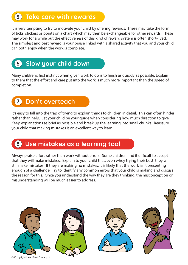#### **Take care with rewards 5**

It is very tempting to try to motivate your child by offering rewards. These may take the form of ticks, stickers or points on a chart which may then be exchangeable for other rewards. These may work for a while but the effectiveness of this kind of reward system is often short-lived. The simplest and best reward is your praise linked with a shared activity that you and your child can both enjoy when the work is complete.



Many children's first instinct when given work to do is to finish as quickly as possible. Explain to them that the effort and care put into the work is much more important than the speed of completion.



It's easy to fall into the trap of trying to explain things to children in detail. This can often hinder rather than help. Let your child be your guide when considering how much direction to give. Keep explanations as brief as possible and break up the learning into small chunks. Reassure your child that making mistakes is an excellent way to learn.

#### **Use mistakes as a learning tool 8**

Always praise effort rather than work without errors. Some children find it difficult to accept that they will make mistakes. Explain to your child that, even whey trying their best, they will still make mistakes. If they are making no mistakes, it is likely that the work isn't presenting enough of a challenge. Try to identify any common errors that your child is making and discuss the reason for this. Once you understand the way they are they thinking, the misconception or misunderstanding will be much easier to address.